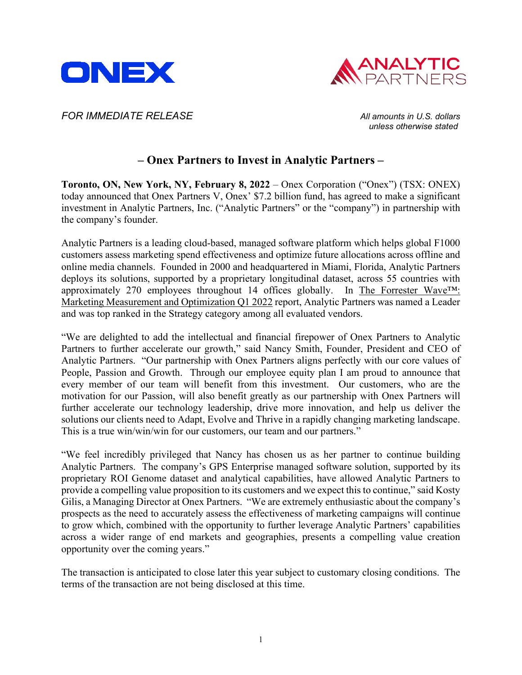



*FOR IMMEDIATE RELEASE All amounts in U.S. dollars*

*unless otherwise stated*

# **– Onex Partners to Invest in Analytic Partners –**

**Toronto, ON, New York, NY, February 8, 2022** – Onex Corporation ("Onex") (TSX: ONEX) today announced that Onex Partners V, Onex' \$7.2 billion fund, has agreed to make a significant investment in Analytic Partners, Inc. ("Analytic Partners" or the "company") in partnership with the company's founder.

Analytic Partners is a leading cloud-based, managed software platform which helps global F1000 customers assess marketing spend effectiveness and optimize future allocations across offline and online media channels. Founded in 2000 and headquartered in Miami, Florida, Analytic Partners deploys its solutions, supported by a proprietary longitudinal dataset, across 55 countries with approximately 270 employees throughout 14 offices globally. In [The Forrester Wave™:](https://nam04.safelinks.protection.outlook.com/?url=https%3A%2F%2Fanalyticpartners.com%2Fforrester-wave-marketing-measurement-optimization-2022%2F&data=04%7C01%7C%7C806acc5588964559fa4108d9ea85dca4%7C38af327df379462ab015ad493acd6cf8%7C0%7C0%7C637798683059787370%7CUnknown%7CTWFpbGZsb3d8eyJWIjoiMC4wLjAwMDAiLCJQIjoiV2luMzIiLCJBTiI6Ik1haWwiLCJXVCI6Mn0%3D%7C0&sdata=nIa9Jmmn7oSU%2BHsBUVGiEW46PBfDSw6byxTB3ejk62w%3D&reserved=0)  [Marketing Measurement and Optimization Q1 2022](https://nam04.safelinks.protection.outlook.com/?url=https%3A%2F%2Fanalyticpartners.com%2Fforrester-wave-marketing-measurement-optimization-2022%2F&data=04%7C01%7C%7C806acc5588964559fa4108d9ea85dca4%7C38af327df379462ab015ad493acd6cf8%7C0%7C0%7C637798683059787370%7CUnknown%7CTWFpbGZsb3d8eyJWIjoiMC4wLjAwMDAiLCJQIjoiV2luMzIiLCJBTiI6Ik1haWwiLCJXVCI6Mn0%3D%7C0&sdata=nIa9Jmmn7oSU%2BHsBUVGiEW46PBfDSw6byxTB3ejk62w%3D&reserved=0) report, Analytic Partners was named a Leader and was top ranked in the Strategy category among all evaluated vendors.

"We are delighted to add the intellectual and financial firepower of Onex Partners to Analytic Partners to further accelerate our growth," said Nancy Smith, Founder, President and CEO of Analytic Partners. "Our partnership with Onex Partners aligns perfectly with our core values of People, Passion and Growth. Through our employee equity plan I am proud to announce that every member of our team will benefit from this investment. Our customers, who are the motivation for our Passion, will also benefit greatly as our partnership with Onex Partners will further accelerate our technology leadership, drive more innovation, and help us deliver the solutions our clients need to Adapt, Evolve and Thrive in a rapidly changing marketing landscape. This is a true win/win/win for our customers, our team and our partners."

"We feel incredibly privileged that Nancy has chosen us as her partner to continue building Analytic Partners. The company's GPS Enterprise managed software solution, supported by its proprietary ROI Genome dataset and analytical capabilities, have allowed Analytic Partners to provide a compelling value proposition to its customers and we expect this to continue," said Kosty Gilis, a Managing Director at Onex Partners. "We are extremely enthusiastic about the company's prospects as the need to accurately assess the effectiveness of marketing campaigns will continue to grow which, combined with the opportunity to further leverage Analytic Partners' capabilities across a wider range of end markets and geographies, presents a compelling value creation opportunity over the coming years."

The transaction is anticipated to close later this year subject to customary closing conditions. The terms of the transaction are not being disclosed at this time.